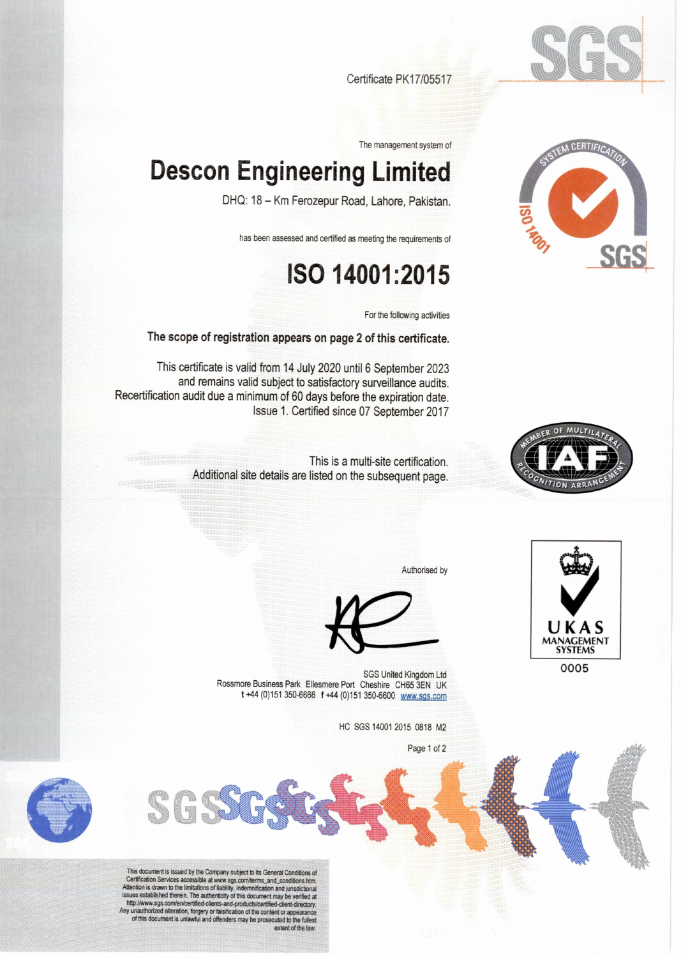



Certificate PK17/05517

The management system of

## **Descon Engineering Limited**

DHQ: 18 — Km Ferozepur Road, Lahore, Pakistan.

has been assessed and certified as meeting the requirements of

## **ISO 14001:2015**

For the following activities

The scope of registration appears on page 2 of this certificate.

This certificate is valid from 14 July 2020 until 6 September 2023 and remains valid subject to satisfactory surveillance audits. Recertification audit due a minimum of 60 days before the expiration date. Issue 1. Certified since 07 September 2017



This is a multi-site certification. Additional site details are listed on the subsequent page.



SGS United Kingdom Ltd **SGS** United Kingdom Ltd **SGS** Rossmore Business Park Ellesmere Port Cheshire CH65 3EN UK t +44 (0)151 350-6666 f +44 (0)151 350-6600 www.sgs.com

HC SGS 14001 2015 0818 M2

Page 1 of 2

Authorised by



This cocomment is issued of the Company subject to its General Conditions of<br>Certification Services accessible at www.sgs.com/terms\_and\_conditions.htm.<br>Aftention is drawn to the limitations of liability, indemnification an map www.sys.comerocertined-clients-and-products/certified-client-directory.<br>Any unauthorized alteration, forgery or falsification of the content or appearance<br>of this document is unlawful and offenders may be prosecuted to extent of the law.

**GGA**